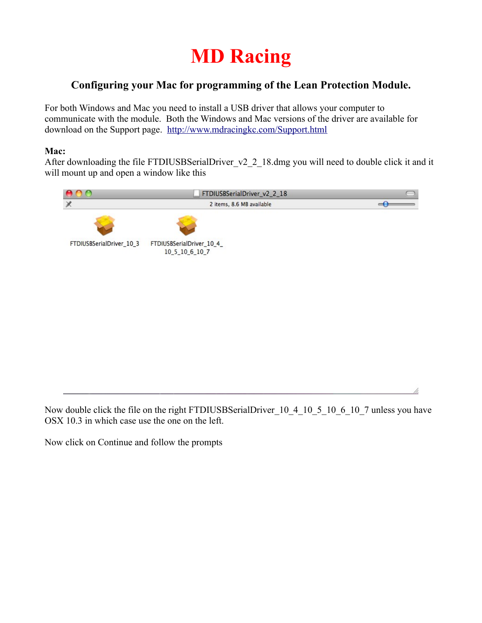## **MD Racing**

## **Configuring your Mac for programming of the Lean Protection Module.**

For both Windows and Mac you need to install a USB driver that allows your computer to communicate with the module. Both the Windows and Mac versions of the driver are available for download on the Support page. <http://www.mdracingkc.com/Support.html>

## **Mac:**

After downloading the file FTDIUSBSerialDriver v2 2 18.dmg you will need to double click it and it will mount up and open a window like this



Now double click the file on the right FTDIUSBSerialDriver 10 4 10 5 10 6 10 7 unless you have OSX 10.3 in which case use the one on the left.

Now click on Continue and follow the prompts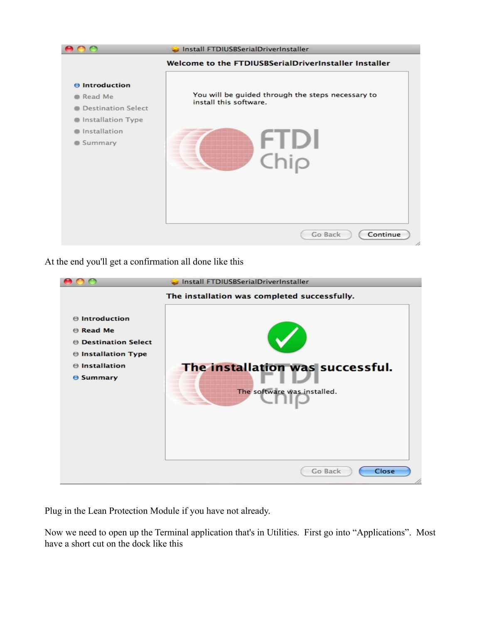

At the end you'll get a confirmation all done like this

|                                                                                                                                                     | Install FTDIUSBSerialDriverInstaller                                                                                                |
|-----------------------------------------------------------------------------------------------------------------------------------------------------|-------------------------------------------------------------------------------------------------------------------------------------|
| $\Theta$ Introduction<br><b>B</b> Read Me<br><b>O</b> Destination Select<br><b>⊖ Installation Type</b><br><b>⊖</b> Installation<br><b>O</b> Summary | The installation was completed successfully.<br>The installation was successful.<br>The software was installed.<br>Close<br>Go Back |
|                                                                                                                                                     |                                                                                                                                     |

Plug in the Lean Protection Module if you have not already.

Now we need to open up the Terminal application that's in Utilities. First go into "Applications". Most have a short cut on the dock like this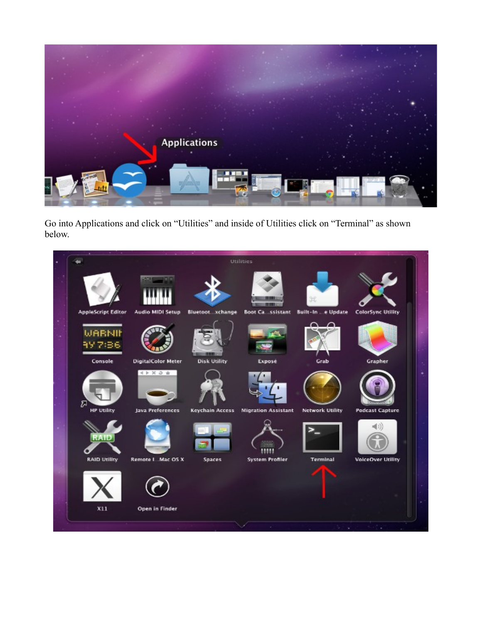

Go into Applications and click on "Utilities" and inside of Utilities click on "Terminal" as shown below.

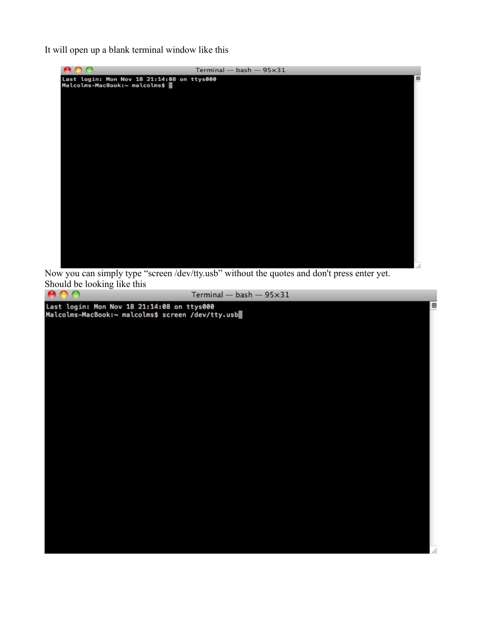It will open up a blank terminal window like this



Now you can simply type "screen /dev/tty.usb" without the quotes and don't press enter yet. Should be looking like this

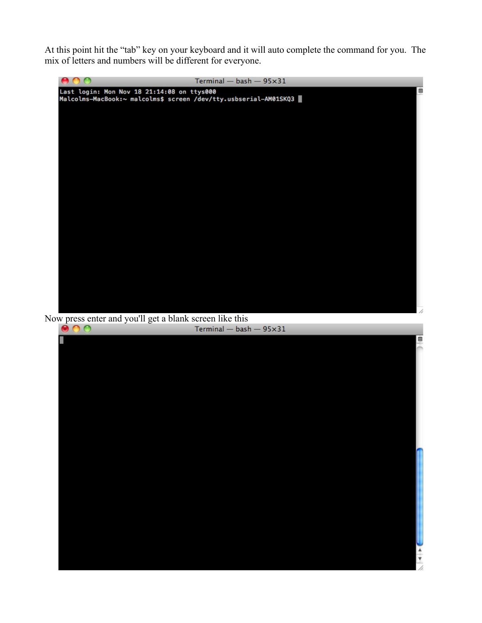At this point hit the "tab" key on your keyboard and it will auto complete the command for you. The mix of letters and numbers will be different for everyone.